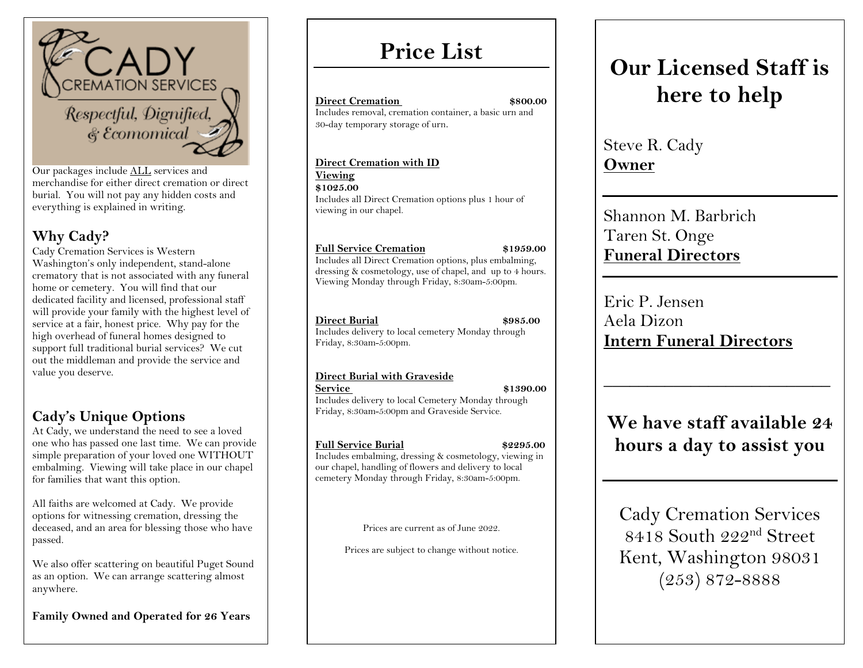

Our packages include ALL services and merchandise for either direct cremation or direct burial. You will not pay any hidden costs and everything is explained in writing.

#### **Why Cady?**

Cady Cremation Services is Western Washington's only independent, stand-alone crematory that is not associated with any funeral home or cemetery. You will find that our dedicated facility and licensed, professional staff will provide your family with the highest level of service at a fair, honest price. Why pay for the high overhead of funeral homes designed to support full traditional burial services? We cut out the middleman and provide the service and value you deserve.

#### **Cady's Unique Options**

At Cady, we understand the need to see a loved one who has passed one last time. We can provide simple preparation of your loved one WITHOUT embalming. Viewing will take place in our chapel for families that want this option.

All faiths are welcomed at Cady. We provide options for witnessing cremation, dressing the deceased, and an area for blessing those who have passed.

We also offer scattering on beautiful Puget Sound as an option. We can arrange scattering almost anywhere.

**Family Owned and Operated for 26 Years**

## **Price List**

**Direct Cremation** \$800.00 Includes removal, cremation container, a basic urn and 30-day temporary storage of urn.

Includes all Direct Cremation options plus 1 hour of

**Full Service Cremation \$1959.00**

**Direct Cremation with ID** 

viewing in our chapel.



Steve R. Cady **Owner**

Eric P. Jensen

Aela Dizon

Shannon M. Barbrich Taren St. Onge **Funeral Directors**

**Intern Funeral Directors**

Includes all Direct Cremation options, plus embalming, dressing & cosmetology, use of chapel, and up to 4 hours. Viewing Monday through Friday, 8:30am-5:00pm.

**Direct Burial \$985.00** 

**Viewing \$1025.00**

Includes delivery to local cemetery Monday through Friday, 8:30am-5:00pm.

#### **Direct Burial with Graveside**

**Service \$1390.00** 

Includes delivery to local Cemetery Monday through Friday, 8:30am-5:00pm and Graveside Service.

#### **Full Service Burial \$2295.00**

Includes embalming, dressing & cosmetology, viewing in our chapel, handling of flowers and delivery to local cemetery Monday through Friday, 8:30am-5:00pm.

Prices are current as of June 2022.

Prices are subject to change without notice.

## **We have staff available 24 hours a day to assist you**

\_\_\_\_\_\_\_\_\_\_\_\_\_\_\_\_\_\_\_\_\_\_\_\_\_\_

Cady Cremation Services 8418 South 222nd Street Kent, Washington 98031 (253) 872-8888